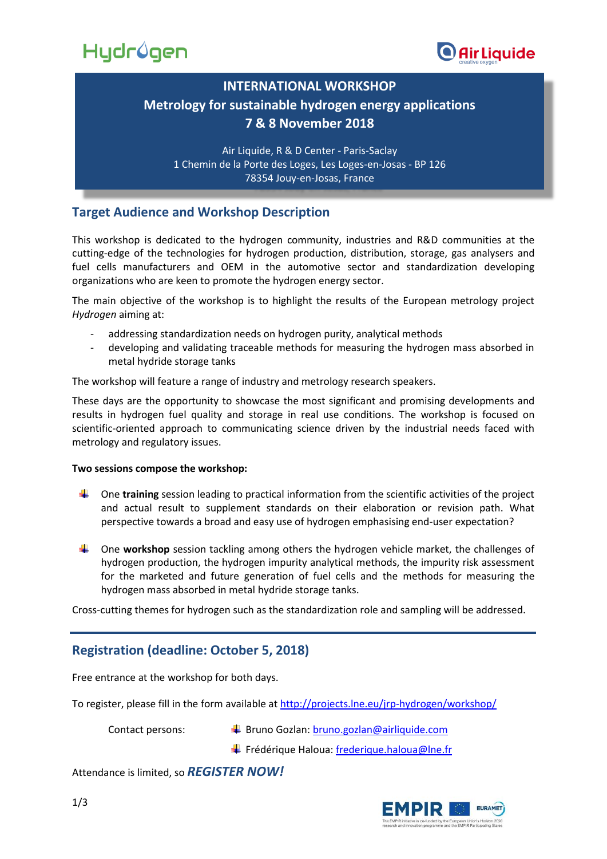



## **INTERNATIONAL WORKSHOP Metrology for sustainable hydrogen energy applications 7 & 8 November 2018**

Air Liquide, R & D Center - Paris-Saclay 1 Chemin de la Porte des Loges, Les Loges-en-Josas - BP 126 78354 Jouy-en-Josas, France

#### **Target Audience and Workshop Description**

This workshop is dedicated to the hydrogen community, industries and R&D communities at the cutting-edge of the technologies for hydrogen production, distribution, storage, gas analysers and fuel cells manufacturers and OEM in the automotive sector and standardization developing organizations who are keen to promote the hydrogen energy sector.

The main objective of the workshop is to highlight the results of the European metrology project *Hydrogen* aiming at:

- addressing standardization needs on hydrogen purity, analytical methods
- developing and validating traceable methods for measuring the hydrogen mass absorbed in metal hydride storage tanks

The workshop will feature a range of industry and metrology research speakers.

These days are the opportunity to showcase the most significant and promising developments and results in hydrogen fuel quality and storage in real use conditions. The workshop is focused on scientific-oriented approach to communicating science driven by the industrial needs faced with metrology and regulatory issues.

#### **Two sessions compose the workshop:**

- One **training** session leading to practical information from the scientific activities of the project and actual result to supplement standards on their elaboration or revision path. What perspective towards a broad and easy use of hydrogen emphasising end-user expectation?
- One **workshop** session tackling among others the hydrogen vehicle market, the challenges of hydrogen production, the hydrogen impurity analytical methods, the impurity risk assessment for the marketed and future generation of fuel cells and the methods for measuring the hydrogen mass absorbed in metal hydride storage tanks.

Cross-cutting themes for hydrogen such as the standardization role and sampling will be addressed.

### **Registration (deadline: October 5, 2018)**

Free entrance at the workshop for both days.

To register, please fill in the form available at<http://projects.lne.eu/jrp-hydrogen/workshop/>

Contact persons:  $\downarrow$  Bruno Gozlan[: bruno.gozlan@airliquide.com](file://///TFILE13/HALOUA/2015%20EMPIR%20Call%20Pré-normatif/15NRM03/WP4/workshop/bruno.gozlan@airliquide.com)

 $\ddot$  Frédérique Haloua: [frederique.haloua@lne.fr](file://///TFILE13/HALOUA/2015%20EMPIR%20Call%20Pré-normatif/15NRM03/WP4/workshop/frederique.haloua@lne.fr)

Attendance is limited, so *REGISTER NOW!*

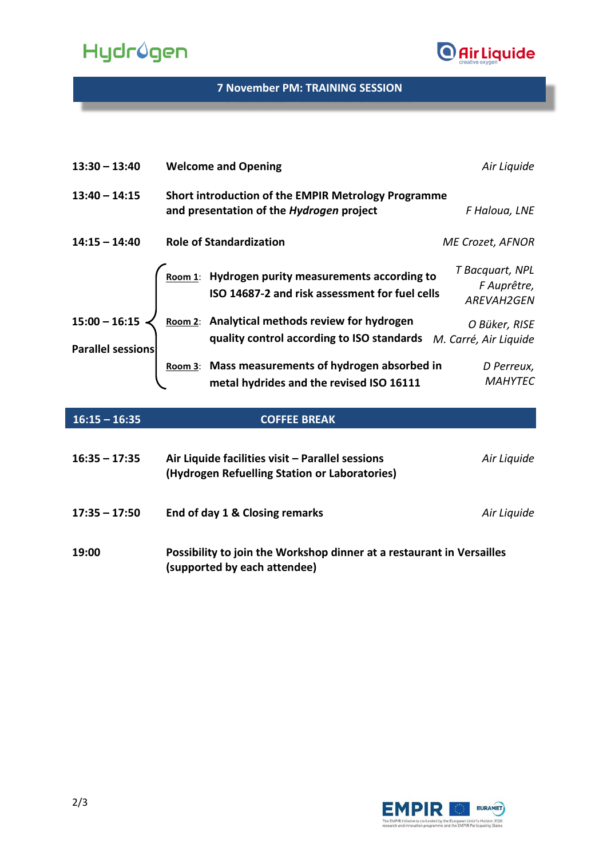# Hydrûgen



#### **7 November PM: TRAINING SESSION**

| $13:30 - 13:40$                      | <b>Welcome and Opening</b>                                                                                         | Air Liquide                                         |
|--------------------------------------|--------------------------------------------------------------------------------------------------------------------|-----------------------------------------------------|
| $13:40 - 14:15$                      | Short introduction of the EMPIR Metrology Programme<br>and presentation of the Hydrogen project                    | F Haloua, LNE                                       |
| $14:15 - 14:40$                      | <b>Role of Standardization</b>                                                                                     | ME Crozet, AFNOR                                    |
|                                      | Room 1: Hydrogen purity measurements according to<br>ISO 14687-2 and risk assessment for fuel cells                | T Bacquart, NPL<br>F Auprêtre,<br><b>AREVAH2GEN</b> |
| $15:00 - 16:15$<br>Parallel sessions | Room 2: Analytical methods review for hydrogen<br>quality control according to ISO standards M. Carré, Air Liquide | O Büker, RISE                                       |
|                                      | Room 3: Mass measurements of hydrogen absorbed in<br>metal hydrides and the revised ISO 16111                      | D Perreux,<br><b>MAHYTEC</b>                        |

| $16:15 - 16:35$ | <b>COFFEE BREAK</b>                                                                                   |             |
|-----------------|-------------------------------------------------------------------------------------------------------|-------------|
| $16:35 - 17:35$ | Air Liquide facilities visit - Parallel sessions<br>(Hydrogen Refuelling Station or Laboratories)     | Air Liquide |
| $17:35 - 17:50$ | End of day 1 & Closing remarks                                                                        | Air Liquide |
| 19:00           | Possibility to join the Workshop dinner at a restaurant in Versailles<br>(supported by each attendee) |             |